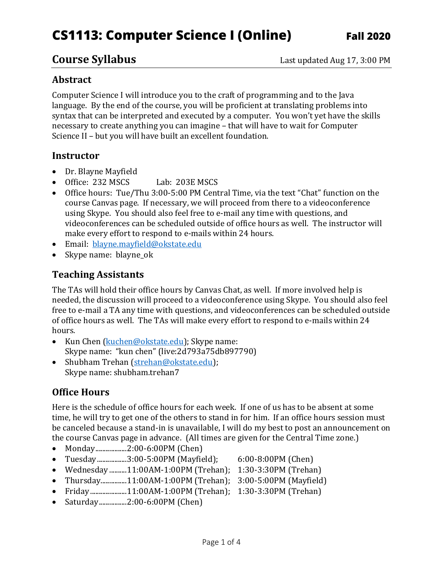# **CS1113: Computer Science I (Online) Fall 2020**

#### **Abstract**

Computer Science I will introduce you to the craft of programming and to the Java language. By the end of the course, you will be proficient at translating problems into syntax that can be interpreted and executed by a computer. You won't yet have the skills necessary to create anything you can imagine – that will have to wait for Computer Science II – but you will have built an excellent foundation.

#### **Instructor**

- Dr. Blayne Mayfield
- Office: 232 MSCS Lab: 203E MSCS
- Office hours: Tue/Thu 3:00-5:00 PM Central Time, via the text "Chat" function on the course Canvas page. If necessary, we will proceed from there to a videoconference using Skype. You should also feel free to e-mail any time with questions, and videoconferences can be scheduled outside of office hours as well. The instructor will make every effort to respond to e-mails within 24 hours.
- Email: [blayne.mayfield@okstate.edu](mailto:blayne.mayfield@okstate.edu)
- Skype name: blayne\_ok

#### **Teaching Assistants**

The TAs will hold their office hours by Canvas Chat, as well. If more involved help is needed, the discussion will proceed to a videoconference using Skype. You should also feel free to e-mail a TA any time with questions, and videoconferences can be scheduled outside of office hours as well. The TAs will make every effort to respond to e-mails within 24 hours.

- Kun Chen [\(kuchen@okstate.edu\)](mailto:kuchen@okstate.edu); Skype name: Skype name: "kun chen" (live:2d793a75db897790)
- Shubham Trehan [\(strehan@okstate.edu\)](mailto:strehan@okstate.edu); Skype name: shubham.trehan7

#### **Office Hours**

Here is the schedule of office hours for each week. If one of us has to be absent at some time, he will try to get one of the others to stand in for him. If an office hours session must be canceled because a stand-in is unavailable, I will do my best to post an announcement on the course Canvas page in advance. (All times are given for the Central Time zone.)

- Monday....................2:00-6:00PM (Chen)
- Tuesday.................3:00-5:00PM (Mayfield); 6:00-8:00PM (Chen)
- Wednesday ..........11:00AM-1:00PM (Trehan); 1:30-3:30PM (Trehan)
- Thursday...............11:00AM-1:00PM (Trehan); 3:00-5:00PM (Mayfield)
- Friday.....................11:00AM-1:00PM (Trehan); 1:30-3:30PM (Trehan)
- Saturday.................2:00-6:00PM (Chen)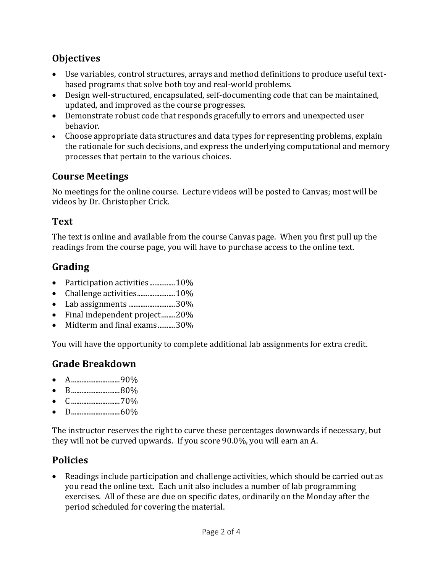## **Objectives**

- Use variables, control structures, arrays and method definitions to produce useful textbased programs that solve both toy and real-world problems.
- Design well-structured, encapsulated, self-documenting code that can be maintained, updated, and improved as the course progresses.
- Demonstrate robust code that responds gracefully to errors and unexpected user behavior.
- Choose appropriate data structures and data types for representing problems, explain the rationale for such decisions, and express the underlying computational and memory processes that pertain to the various choices.

### **Course Meetings**

No meetings for the online course. Lecture videos will be posted to Canvas; most will be videos by Dr. Christopher Crick.

#### **Text**

The text is online and available from the course Canvas page. When you first pull up the readings from the course page, you will have to purchase access to the online text.

# **Grading**

- Participation activities...............10%
- Challenge activities.......................10%
- Lab assignments ...........................30%
- Final independent project........20%
- Midterm and final exams..........30%

You will have the opportunity to complete additional lab assignments for extra credit.

#### **Grade Breakdown**

- A............................90%
- B............................80%
- C............................70%
- D............................60%

The instructor reserves the right to curve these percentages downwards if necessary, but they will not be curved upwards. If you score 90.0%, you will earn an A.

#### **Policies**

 Readings include participation and challenge activities, which should be carried out as you read the online text. Each unit also includes a number of lab programming exercises. All of these are due on specific dates, ordinarily on the Monday after the period scheduled for covering the material.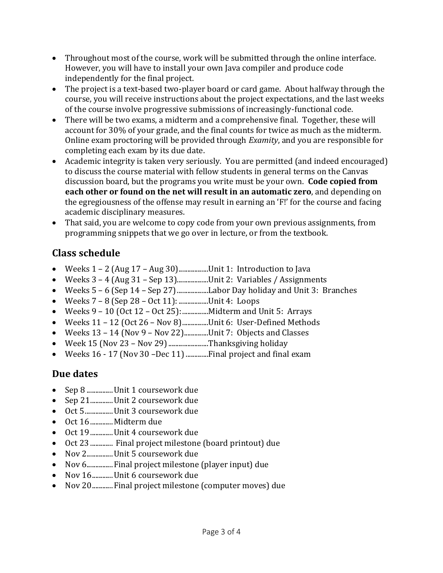- Throughout most of the course, work will be submitted through the online interface. However, you will have to install your own Java compiler and produce code independently for the final project.
- The project is a text-based two-player board or card game. About halfway through the course, you will receive instructions about the project expectations, and the last weeks of the course involve progressive submissions of increasingly-functional code.
- There will be two exams, a midterm and a comprehensive final. Together, these will account for 30% of your grade, and the final counts for twice as much as the midterm. Online exam proctoring will be provided through *Examity*, and you are responsible for completing each exam by its due date.
- Academic integrity is taken very seriously. You are permitted (and indeed encouraged) to discuss the course material with fellow students in general terms on the Canvas discussion board, but the programs you write must be your own. **Code copied from each other or found on the net will result in an automatic zero**, and depending on the egregiousness of the offense may result in earning an 'F!' for the course and facing academic disciplinary measures.
- That said, you are welcome to copy code from your own previous assignments, from programming snippets that we go over in lecture, or from the textbook.

# **Class schedule**

- Weeks 1 2 (Aug 17 Aug 30).................Unit 1: Introduction to Java
- Weeks 3 4 (Aug 31 Sep 13)..................Unit 2: Variables / Assignments
- Weeks 5 6 (Sep 14 Sep 27)..................Labor Day holiday and Unit 3: Branches
- Weeks  $7 8$  (Sep 28 Oct 11): ....................Unit 4: Loops
- Weeks 9 10 (Oct 12 Oct 25):...............Midterm and Unit 5: Arrays
- Weeks  $11 12$  (Oct  $26 Nov 8$ )................Unit 6: User-Defined Methods
- Weeks  $13 14$  (Nov 9 Nov 22)..............Unit 7: Objects and Classes
- $\bullet$  Week 15 (Nov 23 Nov 29)...........................Thanksgiving holiday
- Weeks 16 17 (Nov 30 -Dec 11) .............Final project and final exam

# **Due dates**

- Sep 8 ...............Unit 1 coursework due
- Sep 21..............Unit 2 coursework due
- Oct 5................Unit 3 coursework due
- Oct 16 ............. Midterm due
- Oct 19 ............. Unit 4 coursework due
- Oct 23............. Final project milestone (board printout) due
- Nov 2............... Unit 5 coursework due
- Nov 6................ Final project milestone (player input) due
- Nov 16............. Unit 6 coursework due
- Nov 20............Final project milestone (computer moves) due